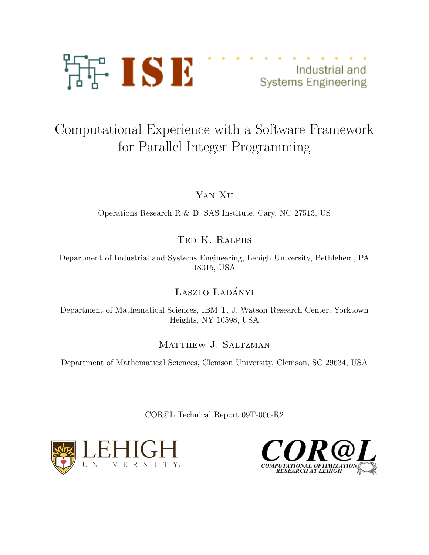

Industrial and **Systems Engineering** 

# Computational Experience with a Software Framework for Parallel Integer Programming

Yan Xu

Operations Research R & D, SAS Institute, Cary, NC 27513, US

Ted K. Ralphs

Department of Industrial and Systems Engineering, Lehigh University, Bethlehem, PA 18015, USA

Laszlo Ladányi

Department of Mathematical Sciences, IBM T. J. Watson Research Center, Yorktown Heights, NY 10598, USA

Matthew J. Saltzman

Department of Mathematical Sciences, Clemson University, Clemson, SC 29634, USA

COR@L Technical Report 09T-006-R2



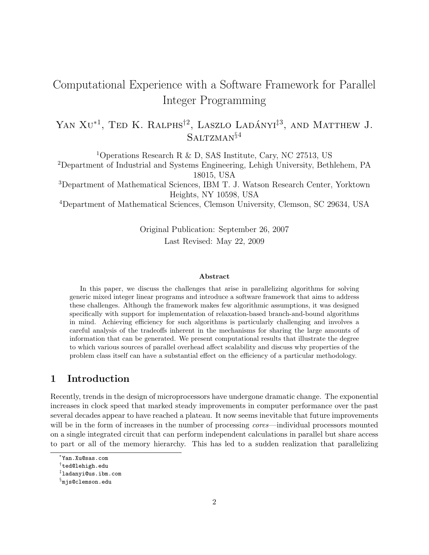## Computational Experience with a Software Framework for Parallel Integer Programming

## YAN  $XU^{*1}$ , TED K. RALPHS<sup>†2</sup>, LASZLO LADÁNYI<sup>‡3</sup>, AND MATTHEW J.  $S$ ALTZMAN<sup>§4</sup>

<sup>1</sup>Operations Research R & D, SAS Institute, Cary, NC 27513, US <sup>2</sup>Department of Industrial and Systems Engineering, Lehigh University, Bethlehem, PA 18015, USA <sup>3</sup>Department of Mathematical Sciences, IBM T. J. Watson Research Center, Yorktown Heights, NY 10598, USA <sup>4</sup>Department of Mathematical Sciences, Clemson University, Clemson, SC 29634, USA

> Original Publication: September 26, 2007 Last Revised: May 22, 2009

#### Abstract

In this paper, we discuss the challenges that arise in parallelizing algorithms for solving generic mixed integer linear programs and introduce a software framework that aims to address these challenges. Although the framework makes few algorithmic assumptions, it was designed specifically with support for implementation of relaxation-based branch-and-bound algorithms in mind. Achieving efficiency for such algorithms is particularly challenging and involves a careful analysis of the tradeoffs inherent in the mechanisms for sharing the large amounts of information that can be generated. We present computational results that illustrate the degree to which various sources of parallel overhead affect scalability and discuss why properties of the problem class itself can have a substantial effect on the efficiency of a particular methodology.

## 1 Introduction

Recently, trends in the design of microprocessors have undergone dramatic change. The exponential increases in clock speed that marked steady improvements in computer performance over the past several decades appear to have reached a plateau. It now seems inevitable that future improvements will be in the form of increases in the number of processing *cores*—individual processors mounted on a single integrated circuit that can perform independent calculations in parallel but share access to part or all of the memory hierarchy. This has led to a sudden realization that parallelizing

<sup>∗</sup> Yan.Xu@sas.com

<sup>†</sup> ted@lehigh.edu

<sup>‡</sup> ladanyi@us.ibm.com

 $\S$ mjs@clemson.edu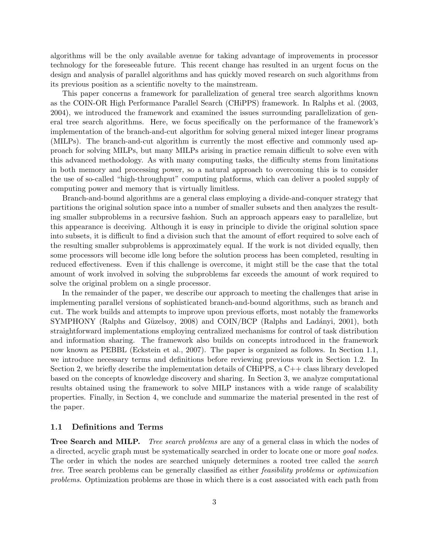algorithms will be the only available avenue for taking advantage of improvements in processor technology for the foreseeable future. This recent change has resulted in an urgent focus on the design and analysis of parallel algorithms and has quickly moved research on such algorithms from its previous position as a scientific novelty to the mainstream.

This paper concerns a framework for parallelization of general tree search algorithms known as the COIN-OR High Performance Parallel Search (CHiPPS) framework. In Ralphs et al. (2003, 2004), we introduced the framework and examined the issues surrounding parallelization of general tree search algorithms. Here, we focus specifically on the performance of the framework's implementation of the branch-and-cut algorithm for solving general mixed integer linear programs (MILPs). The branch-and-cut algorithm is currently the most effective and commonly used approach for solving MILPs, but many MILPs arising in practice remain difficult to solve even with this advanced methodology. As with many computing tasks, the difficulty stems from limitations in both memory and processing power, so a natural approach to overcoming this is to consider the use of so-called "high-throughput" computing platforms, which can deliver a pooled supply of computing power and memory that is virtually limitless.

Branch-and-bound algorithms are a general class employing a divide-and-conquer strategy that partitions the original solution space into a number of smaller subsets and then analyzes the resulting smaller subproblems in a recursive fashion. Such an approach appears easy to parallelize, but this appearance is deceiving. Although it is easy in principle to divide the original solution space into subsets, it is difficult to find a division such that the amount of effort required to solve each of the resulting smaller subproblems is approximately equal. If the work is not divided equally, then some processors will become idle long before the solution process has been completed, resulting in reduced effectiveness. Even if this challenge is overcome, it might still be the case that the total amount of work involved in solving the subproblems far exceeds the amount of work required to solve the original problem on a single processor.

In the remainder of the paper, we describe our approach to meeting the challenges that arise in implementing parallel versions of sophisticated branch-and-bound algorithms, such as branch and cut. The work builds and attempts to improve upon previous efforts, most notably the frameworks SYMPHONY (Ralphs and Güzelsoy, 2008) and COIN/BCP (Ralphs and Ladányi, 2001), both straightforward implementations employing centralized mechanisms for control of task distribution and information sharing. The framework also builds on concepts introduced in the framework now known as PEBBL (Eckstein et al., 2007). The paper is organized as follows. In Section 1.1, we introduce necessary terms and definitions before reviewing previous work in Section 1.2. In Section 2, we briefly describe the implementation details of CHiPPS, a C++ class library developed based on the concepts of knowledge discovery and sharing. In Section 3, we analyze computational results obtained using the framework to solve MILP instances with a wide range of scalability properties. Finally, in Section 4, we conclude and summarize the material presented in the rest of the paper.

#### 1.1 Definitions and Terms

**Tree Search and MILP.** Tree search problems are any of a general class in which the nodes of a directed, acyclic graph must be systematically searched in order to locate one or more goal nodes. The order in which the nodes are searched uniquely determines a rooted tree called the *search* tree. Tree search problems can be generally classified as either feasibility problems or optimization problems. Optimization problems are those in which there is a cost associated with each path from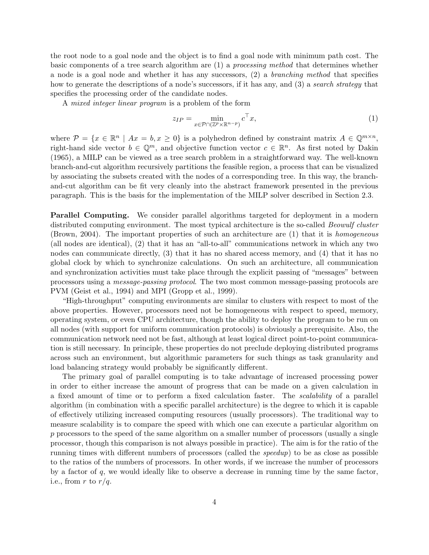the root node to a goal node and the object is to find a goal node with minimum path cost. The basic components of a tree search algorithm are (1) a processing method that determines whether a node is a goal node and whether it has any successors, (2) a branching method that specifies how to generate the descriptions of a node's successors, if it has any, and (3) a *search strategy* that specifies the processing order of the candidate nodes.

A mixed integer linear program is a problem of the form

$$
z_{IP} = \min_{x \in \mathcal{P} \cap (\mathbb{Z}^p \times \mathbb{R}^{n-p})} c^{\top} x,
$$
\n(1)

where  $\mathcal{P} = \{x \in \mathbb{R}^n \mid Ax = b, x \ge 0\}$  is a polyhedron defined by constraint matrix  $A \in \mathbb{Q}^{m \times n}$ , right-hand side vector  $b \in \mathbb{Q}^m$ , and objective function vector  $c \in \mathbb{R}^n$ . As first noted by Dakin (1965), a MILP can be viewed as a tree search problem in a straightforward way. The well-known branch-and-cut algorithm recursively partitions the feasible region, a process that can be visualized by associating the subsets created with the nodes of a corresponding tree. In this way, the branchand-cut algorithm can be fit very cleanly into the abstract framework presented in the previous paragraph. This is the basis for the implementation of the MILP solver described in Section 2.3.

Parallel Computing. We consider parallel algorithms targeted for deployment in a modern distributed computing environment. The most typical architecture is the so-called *Beowulf cluster* (Brown, 2004). The important properties of such an architecture are (1) that it is homogeneous (all nodes are identical), (2) that it has an "all-to-all" communications network in which any two nodes can communicate directly, (3) that it has no shared access memory, and (4) that it has no global clock by which to synchronize calculations. On such an architecture, all communication and synchronization activities must take place through the explicit passing of "messages" between processors using a message-passing protocol. The two most common message-passing protocols are PVM (Geist et al., 1994) and MPI (Gropp et al., 1999).

"High-throughput" computing environments are similar to clusters with respect to most of the above properties. However, processors need not be homogeneous with respect to speed, memory, operating system, or even CPU architecture, though the ability to deploy the program to be run on all nodes (with support for uniform communication protocols) is obviously a prerequisite. Also, the communication network need not be fast, although at least logical direct point-to-point communication is still necessary. In principle, these properties do not preclude deploying distributed programs across such an environment, but algorithmic parameters for such things as task granularity and load balancing strategy would probably be significantly different.

The primary goal of parallel computing is to take advantage of increased processing power in order to either increase the amount of progress that can be made on a given calculation in a fixed amount of time or to perform a fixed calculation faster. The *scalability* of a parallel algorithm (in combination with a specific parallel architecture) is the degree to which it is capable of effectively utilizing increased computing resources (usually processors). The traditional way to measure scalability is to compare the speed with which one can execute a particular algorithm on p processors to the speed of the same algorithm on a smaller number of processors (usually a single processor, though this comparison is not always possible in practice). The aim is for the ratio of the running times with different numbers of processors (called the speedup) to be as close as possible to the ratios of the numbers of processors. In other words, if we increase the number of processors by a factor of  $q$ , we would ideally like to observe a decrease in running time by the same factor, i.e., from r to  $r/q$ .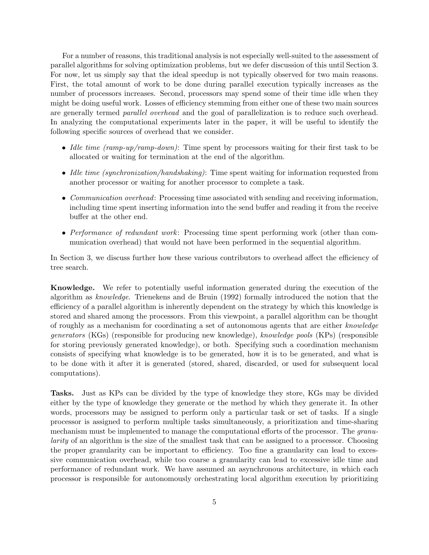For a number of reasons, this traditional analysis is not especially well-suited to the assessment of parallel algorithms for solving optimization problems, but we defer discussion of this until Section 3. For now, let us simply say that the ideal speedup is not typically observed for two main reasons. First, the total amount of work to be done during parallel execution typically increases as the number of processors increases. Second, processors may spend some of their time idle when they might be doing useful work. Losses of efficiency stemming from either one of these two main sources are generally termed parallel overhead and the goal of parallelization is to reduce such overhead. In analyzing the computational experiments later in the paper, it will be useful to identify the following specific sources of overhead that we consider.

- Idle time (ramp-up/ramp-down): Time spent by processors waiting for their first task to be allocated or waiting for termination at the end of the algorithm.
- Idle time (synchronization/handshaking): Time spent waiting for information requested from another processor or waiting for another processor to complete a task.
- *Communication overhead:* Processing time associated with sending and receiving information, including time spent inserting information into the send buffer and reading it from the receive buffer at the other end.
- Performance of redundant work: Processing time spent performing work (other than communication overhead) that would not have been performed in the sequential algorithm.

In Section 3, we discuss further how these various contributors to overhead affect the efficiency of tree search.

Knowledge. We refer to potentially useful information generated during the execution of the algorithm as knowledge. Trienekens and de Bruin (1992) formally introduced the notion that the efficiency of a parallel algorithm is inherently dependent on the strategy by which this knowledge is stored and shared among the processors. From this viewpoint, a parallel algorithm can be thought of roughly as a mechanism for coordinating a set of autonomous agents that are either knowledge generators (KGs) (responsible for producing new knowledge), knowledge pools (KPs) (responsible for storing previously generated knowledge), or both. Specifying such a coordination mechanism consists of specifying what knowledge is to be generated, how it is to be generated, and what is to be done with it after it is generated (stored, shared, discarded, or used for subsequent local computations).

Tasks. Just as KPs can be divided by the type of knowledge they store, KGs may be divided either by the type of knowledge they generate or the method by which they generate it. In other words, processors may be assigned to perform only a particular task or set of tasks. If a single processor is assigned to perform multiple tasks simultaneously, a prioritization and time-sharing mechanism must be implemented to manage the computational efforts of the processor. The granularity of an algorithm is the size of the smallest task that can be assigned to a processor. Choosing the proper granularity can be important to efficiency. Too fine a granularity can lead to excessive communication overhead, while too coarse a granularity can lead to excessive idle time and performance of redundant work. We have assumed an asynchronous architecture, in which each processor is responsible for autonomously orchestrating local algorithm execution by prioritizing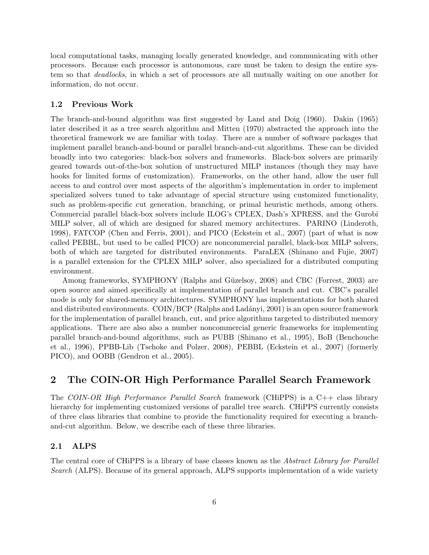local computational tasks, managing locally generated knowledge, and communicating with other processors. Because each processor is autonomous, care must be taken to design the entire system so that deadlocks, in which a set of processors are all mutually waiting on one another for information, do not occur.

#### 1.2 Previous Work

The branch-and-bound algorithm was first suggested by Land and Doig (1960). Dakin (1965) later described it as a tree search algorithm and Mitten (1970) abstracted the approach into the theoretical framework we are familiar with today. There are a number of software packages that implement parallel branch-and-bound or parallel branch-and-cut algorithms. These can be divided broadly into two categories: black-box solvers and frameworks. Black-box solvers are primarily geared towards out-of-the-box solution of unstructured MILP instances (though they may have hooks for limited forms of customization). Frameworks, on the other hand, allow the user full access to and control over most aspects of the algorithm's implementation in order to implement specialized solvers tuned to take advantage of special structure using customized functionality, such as problem-specific cut generation, branching, or primal heuristic methods, among others. Commercial parallel black-box solvers include ILOG's CPLEX, Dash's XPRESS, and the Gurobi MILP solver, all of which are designed for shared memory architectures. PARINO (Linderoth, 1998), FATCOP (Chen and Ferris, 2001), and PICO (Eckstein et al., 2007) (part of what is now called PEBBL, but used to be called PICO) are noncommercial parallel, black-box MILP solvers, both of which are targeted for distributed environments. ParaLEX (Shinano and Fujie, 2007) is a parallel extension for the CPLEX MILP solver, also specialized for a distributed computing environment.

Among frameworks, SYMPHONY (Ralphs and Güzelsoy, 2008) and CBC (Forrest, 2003) are open source and aimed specifically at implementation of parallel branch and cut. CBC's parallel mode is only for shared-memory architectures. SYMPHONY has implementations for both shared and distributed environments. COIN/BCP (Ralphs and Ladányi, 2001) is an open source framework for the implementation of parallel branch, cut, and price algorithms targeted to distributed memory applications. There are also also a number noncommercial generic frameworks for implementing parallel branch-and-bound algorithms, such as PUBB (Shinano et al., 1995), BoB (Benchouche et al., 1996), PPBB-Lib (Tschoke and Polzer, 2008), PEBBL (Eckstein et al., 2007) (formerly PICO), and OOBB (Gendron et al., 2005).

## 2 The COIN-OR High Performance Parallel Search Framework

The COIN-OR High Performance Parallel Search framework (CHiPPS) is a C++ class library hierarchy for implementing customized versions of parallel tree search. CHiPPS currently consists of three class libraries that combine to provide the functionality required for executing a branchand-cut algorithm. Below, we describe each of these three libraries.

#### 2.1 ALPS

The central core of CHIPPS is a library of base classes known as the *Abstract Library for Parallel* Search (ALPS). Because of its general approach, ALPS supports implementation of a wide variety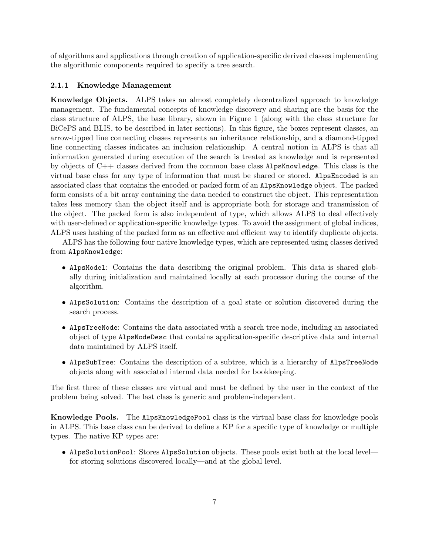of algorithms and applications through creation of application-specific derived classes implementing the algorithmic components required to specify a tree search.

#### 2.1.1 Knowledge Management

Knowledge Objects. ALPS takes an almost completely decentralized approach to knowledge management. The fundamental concepts of knowledge discovery and sharing are the basis for the class structure of ALPS, the base library, shown in Figure 1 (along with the class structure for BiCePS and BLIS, to be described in later sections). In this figure, the boxes represent classes, an arrow-tipped line connecting classes represents an inheritance relationship, and a diamond-tipped line connecting classes indicates an inclusion relationship. A central notion in ALPS is that all information generated during execution of the search is treated as knowledge and is represented by objects of C++ classes derived from the common base class AlpsKnowledge. This class is the virtual base class for any type of information that must be shared or stored. AlpsEncoded is an associated class that contains the encoded or packed form of an AlpsKnowledge object. The packed form consists of a bit array containing the data needed to construct the object. This representation takes less memory than the object itself and is appropriate both for storage and transmission of the object. The packed form is also independent of type, which allows ALPS to deal effectively with user-defined or application-specific knowledge types. To avoid the assignment of global indices, ALPS uses hashing of the packed form as an effective and efficient way to identify duplicate objects.

ALPS has the following four native knowledge types, which are represented using classes derived from AlpsKnowledge:

- AlpsModel: Contains the data describing the original problem. This data is shared globally during initialization and maintained locally at each processor during the course of the algorithm.
- AlpsSolution: Contains the description of a goal state or solution discovered during the search process.
- AlpsTreeNode: Contains the data associated with a search tree node, including an associated object of type AlpsNodeDesc that contains application-specific descriptive data and internal data maintained by ALPS itself.
- AlpsSubTree: Contains the description of a subtree, which is a hierarchy of AlpsTreeNode objects along with associated internal data needed for bookkeeping.

The first three of these classes are virtual and must be defined by the user in the context of the problem being solved. The last class is generic and problem-independent.

Knowledge Pools. The AlpsKnowledgePool class is the virtual base class for knowledge pools in ALPS. This base class can be derived to define a KP for a specific type of knowledge or multiple types. The native KP types are:

• AlpsSolutionPool: Stores AlpsSolution objects. These pools exist both at the local level for storing solutions discovered locally—and at the global level.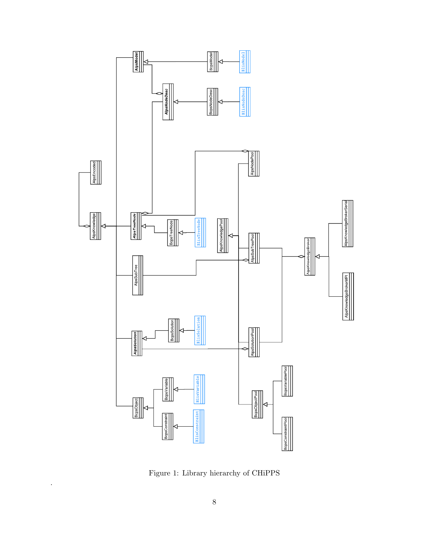

Figure 1: Library hierarchy of CHiPPS

.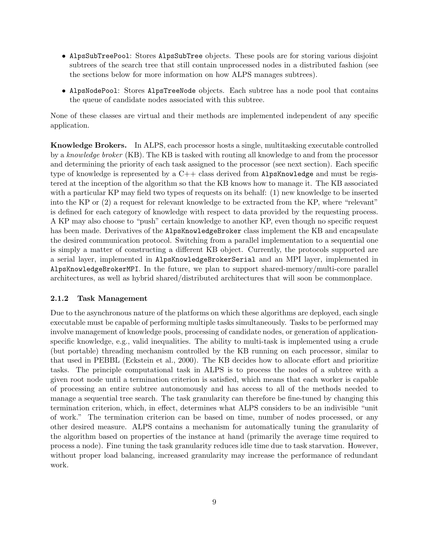- AlpsSubTreePool: Stores AlpsSubTree objects. These pools are for storing various disjoint subtrees of the search tree that still contain unprocessed nodes in a distributed fashion (see the sections below for more information on how ALPS manages subtrees).
- AlpsNodePool: Stores AlpsTreeNode objects. Each subtree has a node pool that contains the queue of candidate nodes associated with this subtree.

None of these classes are virtual and their methods are implemented independent of any specific application.

Knowledge Brokers. In ALPS, each processor hosts a single, multitasking executable controlled by a knowledge broker (KB). The KB is tasked with routing all knowledge to and from the processor and determining the priority of each task assigned to the processor (see next section). Each specific type of knowledge is represented by a  $C++$  class derived from AlpsKnowledge and must be registered at the inception of the algorithm so that the KB knows how to manage it. The KB associated with a particular KP may field two types of requests on its behalf: (1) new knowledge to be inserted into the KP or (2) a request for relevant knowledge to be extracted from the KP, where "relevant" is defined for each category of knowledge with respect to data provided by the requesting process. A KP may also choose to "push" certain knowledge to another KP, even though no specific request has been made. Derivatives of the AlpsKnowledgeBroker class implement the KB and encapsulate the desired communication protocol. Switching from a parallel implementation to a sequential one is simply a matter of constructing a different KB object. Currently, the protocols supported are a serial layer, implemented in AlpsKnowledgeBrokerSerial and an MPI layer, implemented in AlpsKnowledgeBrokerMPI. In the future, we plan to support shared-memory/multi-core parallel architectures, as well as hybrid shared/distributed architectures that will soon be commonplace.

#### 2.1.2 Task Management

Due to the asynchronous nature of the platforms on which these algorithms are deployed, each single executable must be capable of performing multiple tasks simultaneously. Tasks to be performed may involve management of knowledge pools, processing of candidate nodes, or generation of applicationspecific knowledge, e.g., valid inequalities. The ability to multi-task is implemented using a crude (but portable) threading mechanism controlled by the KB running on each processor, similar to that used in PEBBL (Eckstein et al., 2000). The KB decides how to allocate effort and prioritize tasks. The principle computational task in ALPS is to process the nodes of a subtree with a given root node until a termination criterion is satisfied, which means that each worker is capable of processing an entire subtree autonomously and has access to all of the methods needed to manage a sequential tree search. The task granularity can therefore be fine-tuned by changing this termination criterion, which, in effect, determines what ALPS considers to be an indivisible "unit of work." The termination criterion can be based on time, number of nodes processed, or any other desired measure. ALPS contains a mechanism for automatically tuning the granularity of the algorithm based on properties of the instance at hand (primarily the average time required to process a node). Fine tuning the task granularity reduces idle time due to task starvation. However, without proper load balancing, increased granularity may increase the performance of redundant work.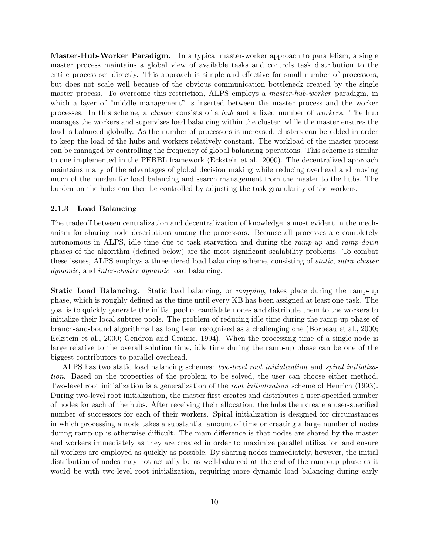Master-Hub-Worker Paradigm. In a typical master-worker approach to parallelism, a single master process maintains a global view of available tasks and controls task distribution to the entire process set directly. This approach is simple and effective for small number of processors, but does not scale well because of the obvious communication bottleneck created by the single master process. To overcome this restriction, ALPS employs a master-hub-worker paradigm, in which a layer of "middle management" is inserted between the master process and the worker processes. In this scheme, a cluster consists of a hub and a fixed number of workers. The hub manages the workers and supervises load balancing within the cluster, while the master ensures the load is balanced globally. As the number of processors is increased, clusters can be added in order to keep the load of the hubs and workers relatively constant. The workload of the master process can be managed by controlling the frequency of global balancing operations. This scheme is similar to one implemented in the PEBBL framework (Eckstein et al., 2000). The decentralized approach maintains many of the advantages of global decision making while reducing overhead and moving much of the burden for load balancing and search management from the master to the hubs. The burden on the hubs can then be controlled by adjusting the task granularity of the workers.

#### 2.1.3 Load Balancing

The tradeoff between centralization and decentralization of knowledge is most evident in the mechanism for sharing node descriptions among the processors. Because all processes are completely autonomous in ALPS, idle time due to task starvation and during the ramp-up and ramp-down phases of the algorithm (defined below) are the most significant scalability problems. To combat these issues, ALPS employs a three-tiered load balancing scheme, consisting of static, intra-cluster dynamic, and inter-cluster dynamic load balancing.

**Static Load Balancing.** Static load balancing, or *mapping*, takes place during the ramp-up phase, which is roughly defined as the time until every KB has been assigned at least one task. The goal is to quickly generate the initial pool of candidate nodes and distribute them to the workers to initialize their local subtree pools. The problem of reducing idle time during the ramp-up phase of branch-and-bound algorithms has long been recognized as a challenging one (Borbeau et al., 2000; Eckstein et al., 2000; Gendron and Crainic, 1994). When the processing time of a single node is large relative to the overall solution time, idle time during the ramp-up phase can be one of the biggest contributors to parallel overhead.

ALPS has two static load balancing schemes: two-level root initialization and spiral initialization. Based on the properties of the problem to be solved, the user can choose either method. Two-level root initialization is a generalization of the root initialization scheme of Henrich (1993). During two-level root initialization, the master first creates and distributes a user-specified number of nodes for each of the hubs. After receiving their allocation, the hubs then create a user-specified number of successors for each of their workers. Spiral initialization is designed for circumstances in which processing a node takes a substantial amount of time or creating a large number of nodes during ramp-up is otherwise difficult. The main difference is that nodes are shared by the master and workers immediately as they are created in order to maximize parallel utilization and ensure all workers are employed as quickly as possible. By sharing nodes immediately, however, the initial distribution of nodes may not actually be as well-balanced at the end of the ramp-up phase as it would be with two-level root initialization, requiring more dynamic load balancing during early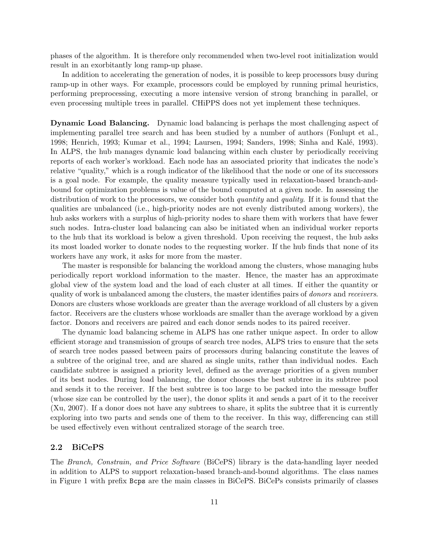phases of the algorithm. It is therefore only recommended when two-level root initialization would result in an exorbitantly long ramp-up phase.

In addition to accelerating the generation of nodes, it is possible to keep processors busy during ramp-up in other ways. For example, processors could be employed by running primal heuristics, performing preprocessing, executing a more intensive version of strong branching in parallel, or even processing multiple trees in parallel. CHiPPS does not yet implement these techniques.

Dynamic Load Balancing. Dynamic load balancing is perhaps the most challenging aspect of implementing parallel tree search and has been studied by a number of authors (Fonlupt et al., 1998; Henrich, 1993; Kumar et al., 1994; Laursen, 1994; Sanders, 1998; Sinha and Kalé, 1993). In ALPS, the hub manages dynamic load balancing within each cluster by periodically receiving reports of each worker's workload. Each node has an associated priority that indicates the node's relative "quality," which is a rough indicator of the likelihood that the node or one of its successors is a goal node. For example, the quality measure typically used in relaxation-based branch-andbound for optimization problems is value of the bound computed at a given node. In assessing the distribution of work to the processors, we consider both *quantity* and *quality*. If it is found that the qualities are unbalanced (i.e., high-priority nodes are not evenly distributed among workers), the hub asks workers with a surplus of high-priority nodes to share them with workers that have fewer such nodes. Intra-cluster load balancing can also be initiated when an individual worker reports to the hub that its workload is below a given threshold. Upon receiving the request, the hub asks its most loaded worker to donate nodes to the requesting worker. If the hub finds that none of its workers have any work, it asks for more from the master.

The master is responsible for balancing the workload among the clusters, whose managing hubs periodically report workload information to the master. Hence, the master has an approximate global view of the system load and the load of each cluster at all times. If either the quantity or quality of work is unbalanced among the clusters, the master identifies pairs of *donors* and *receivers*. Donors are clusters whose workloads are greater than the average workload of all clusters by a given factor. Receivers are the clusters whose workloads are smaller than the average workload by a given factor. Donors and receivers are paired and each donor sends nodes to its paired receiver.

The dynamic load balancing scheme in ALPS has one rather unique aspect. In order to allow efficient storage and transmission of groups of search tree nodes, ALPS tries to ensure that the sets of search tree nodes passed between pairs of processors during balancing constitute the leaves of a subtree of the original tree, and are shared as single units, rather than individual nodes. Each candidate subtree is assigned a priority level, defined as the average priorities of a given number of its best nodes. During load balancing, the donor chooses the best subtree in its subtree pool and sends it to the receiver. If the best subtree is too large to be packed into the message buffer (whose size can be controlled by the user), the donor splits it and sends a part of it to the receiver (Xu, 2007). If a donor does not have any subtrees to share, it splits the subtree that it is currently exploring into two parts and sends one of them to the receiver. In this way, differencing can still be used effectively even without centralized storage of the search tree.

#### 2.2 BiCePS

The Branch, Constrain, and Price Software (BiCePS) library is the data-handling layer needed in addition to ALPS to support relaxation-based branch-and-bound algorithms. The class names in Figure 1 with prefix Bcps are the main classes in BiCePS. BiCePs consists primarily of classes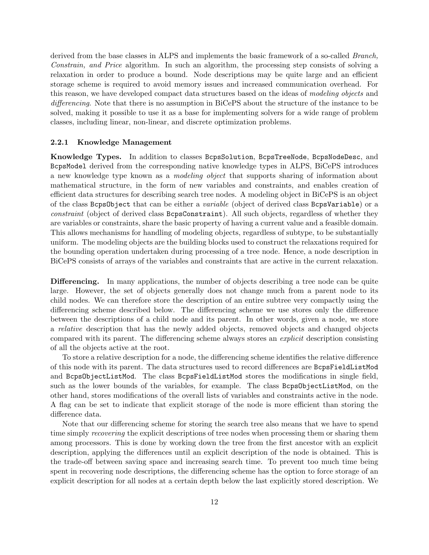derived from the base classes in ALPS and implements the basic framework of a so-called *Branch*, Constrain, and Price algorithm. In such an algorithm, the processing step consists of solving a relaxation in order to produce a bound. Node descriptions may be quite large and an efficient storage scheme is required to avoid memory issues and increased communication overhead. For this reason, we have developed compact data structures based on the ideas of modeling objects and differencing. Note that there is no assumption in BiCePS about the structure of the instance to be solved, making it possible to use it as a base for implementing solvers for a wide range of problem classes, including linear, non-linear, and discrete optimization problems.

#### 2.2.1 Knowledge Management

Knowledge Types. In addition to classes BcpsSolution, BcpsTreeNode, BcpsNodeDesc, and BcpsModel derived from the corresponding native knowledge types in ALPS, BiCePS introduces a new knowledge type known as a modeling object that supports sharing of information about mathematical structure, in the form of new variables and constraints, and enables creation of efficient data structures for describing search tree nodes. A modeling object in BiCePS is an object of the class BcpsObject that can be either a variable (object of derived class BcpsVariable) or a constraint (object of derived class BcpsConstraint). All such objects, regardless of whether they are variables or constraints, share the basic property of having a current value and a feasible domain. This allows mechanisms for handling of modeling objects, regardless of subtype, to be substantially uniform. The modeling objects are the building blocks used to construct the relaxations required for the bounding operation undertaken during processing of a tree node. Hence, a node description in BiCePS consists of arrays of the variables and constraints that are active in the current relaxation.

Differencing. In many applications, the number of objects describing a tree node can be quite large. However, the set of objects generally does not change much from a parent node to its child nodes. We can therefore store the description of an entire subtree very compactly using the differencing scheme described below. The differencing scheme we use stores only the difference between the descriptions of a child node and its parent. In other words, given a node, we store a relative description that has the newly added objects, removed objects and changed objects compared with its parent. The differencing scheme always stores an explicit description consisting of all the objects active at the root.

To store a relative description for a node, the differencing scheme identifies the relative difference of this node with its parent. The data structures used to record differences are BcpsFieldListMod and BcpsObjectListMod. The class BcpsFieldListMod stores the modifications in single field, such as the lower bounds of the variables, for example. The class BcpsObjectListMod, on the other hand, stores modifications of the overall lists of variables and constraints active in the node. A flag can be set to indicate that explicit storage of the node is more efficient than storing the difference data.

Note that our differencing scheme for storing the search tree also means that we have to spend time simply *recovering* the explicit descriptions of tree nodes when processing them or sharing them among processors. This is done by working down the tree from the first ancestor with an explicit description, applying the differences until an explicit description of the node is obtained. This is the trade-off between saving space and increasing search time. To prevent too much time being spent in recovering node descriptions, the differencing scheme has the option to force storage of an explicit description for all nodes at a certain depth below the last explicitly stored description. We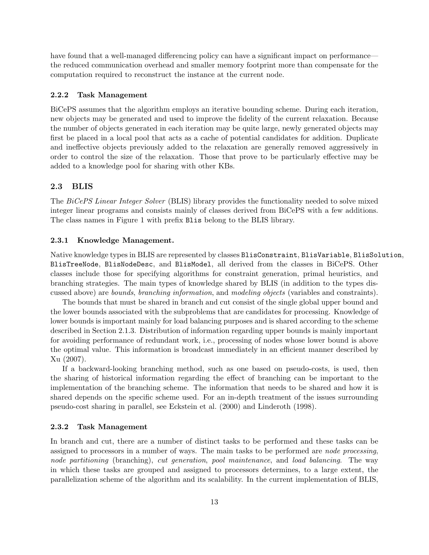have found that a well-managed differencing policy can have a significant impact on performance the reduced communication overhead and smaller memory footprint more than compensate for the computation required to reconstruct the instance at the current node.

#### 2.2.2 Task Management

BiCePS assumes that the algorithm employs an iterative bounding scheme. During each iteration, new objects may be generated and used to improve the fidelity of the current relaxation. Because the number of objects generated in each iteration may be quite large, newly generated objects may first be placed in a local pool that acts as a cache of potential candidates for addition. Duplicate and ineffective objects previously added to the relaxation are generally removed aggressively in order to control the size of the relaxation. Those that prove to be particularly effective may be added to a knowledge pool for sharing with other KBs.

#### 2.3 BLIS

The BiCePS Linear Integer Solver (BLIS) library provides the functionality needed to solve mixed integer linear programs and consists mainly of classes derived from BiCePS with a few additions. The class names in Figure 1 with prefix Blis belong to the BLIS library.

#### 2.3.1 Knowledge Management.

Native knowledge types in BLIS are represented by classes BlisConstraint, BlisVariable, BlisSolution, BlisTreeNode, BlisNodeDesc, and BlisModel, all derived from the classes in BiCePS. Other classes include those for specifying algorithms for constraint generation, primal heuristics, and branching strategies. The main types of knowledge shared by BLIS (in addition to the types discussed above) are bounds, branching information, and modeling objects (variables and constraints).

The bounds that must be shared in branch and cut consist of the single global upper bound and the lower bounds associated with the subproblems that are candidates for processing. Knowledge of lower bounds is important mainly for load balancing purposes and is shared according to the scheme described in Section 2.1.3. Distribution of information regarding upper bounds is mainly important for avoiding performance of redundant work, i.e., processing of nodes whose lower bound is above the optimal value. This information is broadcast immediately in an efficient manner described by Xu (2007).

If a backward-looking branching method, such as one based on pseudo-costs, is used, then the sharing of historical information regarding the effect of branching can be important to the implementation of the branching scheme. The information that needs to be shared and how it is shared depends on the specific scheme used. For an in-depth treatment of the issues surrounding pseudo-cost sharing in parallel, see Eckstein et al. (2000) and Linderoth (1998).

#### 2.3.2 Task Management

In branch and cut, there are a number of distinct tasks to be performed and these tasks can be assigned to processors in a number of ways. The main tasks to be performed are node processing, node partitioning (branching), cut generation, pool maintenance, and load balancing. The way in which these tasks are grouped and assigned to processors determines, to a large extent, the parallelization scheme of the algorithm and its scalability. In the current implementation of BLIS,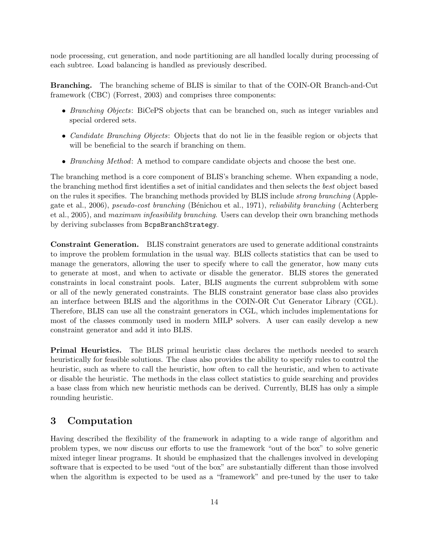node processing, cut generation, and node partitioning are all handled locally during processing of each subtree. Load balancing is handled as previously described.

Branching. The branching scheme of BLIS is similar to that of the COIN-OR Branch-and-Cut framework (CBC) (Forrest, 2003) and comprises three components:

- Branching Objects: BiCePS objects that can be branched on, such as integer variables and special ordered sets.
- Candidate Branching Objects: Objects that do not lie in the feasible region or objects that will be beneficial to the search if branching on them.
- Branching Method: A method to compare candidate objects and choose the best one.

The branching method is a core component of BLIS's branching scheme. When expanding a node, the branching method first identifies a set of initial candidates and then selects the best object based on the rules it specifies. The branching methods provided by BLIS include strong branching (Applegate et al., 2006), *pseudo-cost branching* (Bénichou et al., 1971), *reliability branching* (Achterberg et al., 2005), and maximum infeasibility branching. Users can develop their own branching methods by deriving subclasses from BcpsBranchStrategy.

Constraint Generation. BLIS constraint generators are used to generate additional constraints to improve the problem formulation in the usual way. BLIS collects statistics that can be used to manage the generators, allowing the user to specify where to call the generator, how many cuts to generate at most, and when to activate or disable the generator. BLIS stores the generated constraints in local constraint pools. Later, BLIS augments the current subproblem with some or all of the newly generated constraints. The BLIS constraint generator base class also provides an interface between BLIS and the algorithms in the COIN-OR Cut Generator Library (CGL). Therefore, BLIS can use all the constraint generators in CGL, which includes implementations for most of the classes commonly used in modern MILP solvers. A user can easily develop a new constraint generator and add it into BLIS.

Primal Heuristics. The BLIS primal heuristic class declares the methods needed to search heuristically for feasible solutions. The class also provides the ability to specify rules to control the heuristic, such as where to call the heuristic, how often to call the heuristic, and when to activate or disable the heuristic. The methods in the class collect statistics to guide searching and provides a base class from which new heuristic methods can be derived. Currently, BLIS has only a simple rounding heuristic.

## 3 Computation

Having described the flexibility of the framework in adapting to a wide range of algorithm and problem types, we now discuss our efforts to use the framework "out of the box" to solve generic mixed integer linear programs. It should be emphasized that the challenges involved in developing software that is expected to be used "out of the box" are substantially different than those involved when the algorithm is expected to be used as a "framework" and pre-tuned by the user to take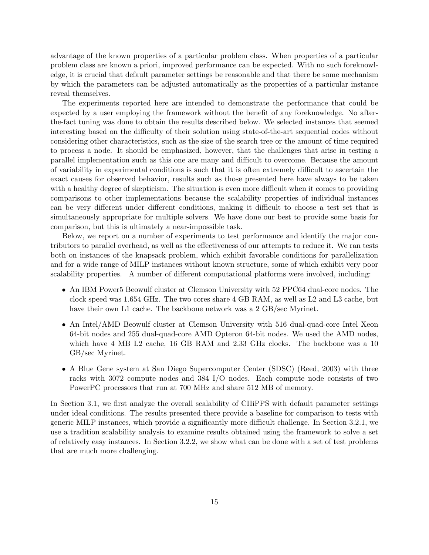advantage of the known properties of a particular problem class. When properties of a particular problem class are known a priori, improved performance can be expected. With no such foreknowledge, it is crucial that default parameter settings be reasonable and that there be some mechanism by which the parameters can be adjusted automatically as the properties of a particular instance reveal themselves.

The experiments reported here are intended to demonstrate the performance that could be expected by a user employing the framework without the benefit of any foreknowledge. No afterthe-fact tuning was done to obtain the results described below. We selected instances that seemed interesting based on the difficulty of their solution using state-of-the-art sequential codes without considering other characteristics, such as the size of the search tree or the amount of time required to process a node. It should be emphasized, however, that the challenges that arise in testing a parallel implementation such as this one are many and difficult to overcome. Because the amount of variability in experimental conditions is such that it is often extremely difficult to ascertain the exact causes for observed behavior, results such as those presented here have always to be taken with a healthy degree of skepticism. The situation is even more difficult when it comes to providing comparisons to other implementations because the scalability properties of individual instances can be very different under different conditions, making it difficult to choose a test set that is simultaneously appropriate for multiple solvers. We have done our best to provide some basis for comparison, but this is ultimately a near-impossible task.

Below, we report on a number of experiments to test performance and identify the major contributors to parallel overhead, as well as the effectiveness of our attempts to reduce it. We ran tests both on instances of the knapsack problem, which exhibit favorable conditions for parallelization and for a wide range of MILP instances without known structure, some of which exhibit very poor scalability properties. A number of different computational platforms were involved, including:

- An IBM Power5 Beowulf cluster at Clemson University with 52 PPC64 dual-core nodes. The clock speed was 1.654 GHz. The two cores share 4 GB RAM, as well as L2 and L3 cache, but have their own L1 cache. The backbone network was a 2 GB/sec Myrinet.
- An Intel/AMD Beowulf cluster at Clemson University with 516 dual-quad-core Intel Xeon 64-bit nodes and 255 dual-quad-core AMD Opteron 64-bit nodes. We used the AMD nodes, which have 4 MB L2 cache, 16 GB RAM and 2.33 GHz clocks. The backbone was a 10 GB/sec Myrinet.
- A Blue Gene system at San Diego Supercomputer Center (SDSC) (Reed, 2003) with three racks with 3072 compute nodes and 384 I/O nodes. Each compute node consists of two PowerPC processors that run at 700 MHz and share 512 MB of memory.

In Section 3.1, we first analyze the overall scalability of CHiPPS with default parameter settings under ideal conditions. The results presented there provide a baseline for comparison to tests with generic MILP instances, which provide a significantly more difficult challenge. In Section 3.2.1, we use a tradition scalability analysis to examine results obtained using the framework to solve a set of relatively easy instances. In Section 3.2.2, we show what can be done with a set of test problems that are much more challenging.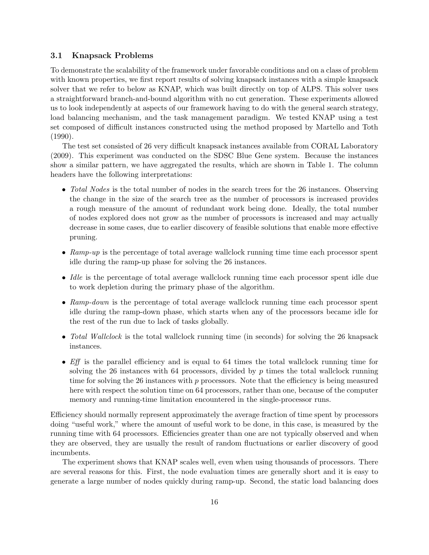#### 3.1 Knapsack Problems

To demonstrate the scalability of the framework under favorable conditions and on a class of problem with known properties, we first report results of solving knapsack instances with a simple knapsack solver that we refer to below as KNAP, which was built directly on top of ALPS. This solver uses a straightforward branch-and-bound algorithm with no cut generation. These experiments allowed us to look independently at aspects of our framework having to do with the general search strategy, load balancing mechanism, and the task management paradigm. We tested KNAP using a test set composed of difficult instances constructed using the method proposed by Martello and Toth (1990).

The test set consisted of 26 very difficult knapsack instances available from CORAL Laboratory (2009). This experiment was conducted on the SDSC Blue Gene system. Because the instances show a similar pattern, we have aggregated the results, which are shown in Table 1. The column headers have the following interpretations:

- Total Nodes is the total number of nodes in the search trees for the 26 instances. Observing the change in the size of the search tree as the number of processors is increased provides a rough measure of the amount of redundant work being done. Ideally, the total number of nodes explored does not grow as the number of processors is increased and may actually decrease in some cases, due to earlier discovery of feasible solutions that enable more effective pruning.
- Ramp-up is the percentage of total average wallclock running time time each processor spent idle during the ramp-up phase for solving the 26 instances.
- Idle is the percentage of total average wallclock running time each processor spent idle due to work depletion during the primary phase of the algorithm.
- Ramp-down is the percentage of total average wallclock running time each processor spent idle during the ramp-down phase, which starts when any of the processors became idle for the rest of the run due to lack of tasks globally.
- Total Wallclock is the total wallclock running time (in seconds) for solving the 26 knapsack instances.
- Eff is the parallel efficiency and is equal to 64 times the total wallclock running time for solving the 26 instances with 64 processors, divided by  $p$  times the total wallclock running time for solving the 26 instances with  $p$  processors. Note that the efficiency is being measured here with respect the solution time on 64 processors, rather than one, because of the computer memory and running-time limitation encountered in the single-processor runs.

Efficiency should normally represent approximately the average fraction of time spent by processors doing "useful work," where the amount of useful work to be done, in this case, is measured by the running time with 64 processors. Efficiencies greater than one are not typically observed and when they are observed, they are usually the result of random fluctuations or earlier discovery of good incumbents.

The experiment shows that KNAP scales well, even when using thousands of processors. There are several reasons for this. First, the node evaluation times are generally short and it is easy to generate a large number of nodes quickly during ramp-up. Second, the static load balancing does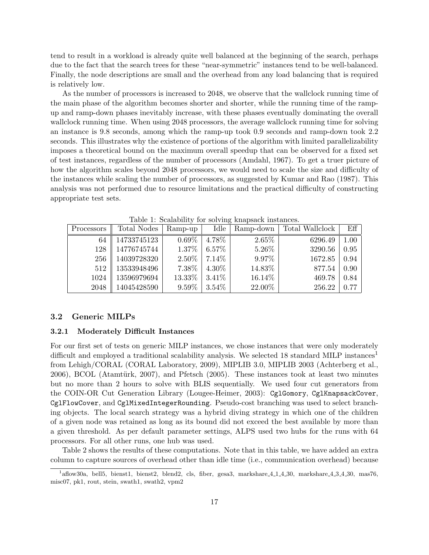tend to result in a workload is already quite well balanced at the beginning of the search, perhaps due to the fact that the search trees for these "near-symmetric" instances tend to be well-balanced. Finally, the node descriptions are small and the overhead from any load balancing that is required is relatively low.

As the number of processors is increased to 2048, we observe that the wallclock running time of the main phase of the algorithm becomes shorter and shorter, while the running time of the rampup and ramp-down phases inevitably increase, with these phases eventually dominating the overall wallclock running time. When using 2048 processors, the average wallclock running time for solving an instance is 9.8 seconds, among which the ramp-up took 0.9 seconds and ramp-down took 2.2 seconds. This illustrates why the existence of portions of the algorithm with limited parallelizability imposes a theoretical bound on the maximum overall speedup that can be observed for a fixed set of test instances, regardless of the number of processors (Amdahl, 1967). To get a truer picture of how the algorithm scales beyond 2048 processors, we would need to scale the size and difficulty of the instances while scaling the number of processors, as suggested by Kumar and Rao (1987). This analysis was not performed due to resource limitations and the practical difficulty of constructing appropriate test sets.

| Processors | Total Nodes | Ramp-up  | Idle     | Ramp-down | Total Wallclock | Εff  |
|------------|-------------|----------|----------|-----------|-----------------|------|
| 64         | 14733745123 | $0.69\%$ | 4.78%    | 2.65%     | 6296.49         | 1.00 |
| 128        | 14776745744 | 1.37%    | $6.57\%$ | 5.26%     | 3290.56         | 0.95 |
| 256        | 14039728320 | $2.50\%$ | 7.14\%   | 9.97%     | 1672.85         | 0.94 |
| 512        | 13533948496 | 7.38%    | 4.30%    | 14.83%    | 877.54          | 0.90 |
| 1024       | 13596979694 | 13.33%   | $3.41\%$ | 16.14%    | 469.78          | 0.84 |
| 2048       | 14045428590 | $9.59\%$ | $3.54\%$ | 22.00%    | 256.22          | 0.77 |

Table 1: Scalability for solving knapsack instances.

#### 3.2 Generic MILPs

#### 3.2.1 Moderately Difficult Instances

For our first set of tests on generic MILP instances, we chose instances that were only moderately difficult and employed a traditional scalability analysis. We selected 18 standard MILP instances<sup>1</sup> from Lehigh/CORAL (CORAL Laboratory, 2009), MIPLIB 3.0, MIPLIB 2003 (Achterberg et al.,  $2006$ , BCOL (Atamtürk, 2007), and Pfetsch (2005). These instances took at least two minutes but no more than 2 hours to solve with BLIS sequentially. We used four cut generators from the COIN-OR Cut Generation Library (Lougee-Heimer, 2003): CglGomory, CglKnapsackCover, CglFlowCover, and CglMixedIntegerRounding. Pseudo-cost branching was used to select branching objects. The local search strategy was a hybrid diving strategy in which one of the children of a given node was retained as long as its bound did not exceed the best available by more than a given threshold. As per default parameter settings, ALPS used two hubs for the runs with 64 processors. For all other runs, one hub was used.

Table 2 shows the results of these computations. Note that in this table, we have added an extra column to capture sources of overhead other than idle time (i.e., communication overhead) because

 $1<sup>1</sup>$ aflow30a, bell5, bienst1, bienst2, blend2, cls, fiber, gesa3, markshare  $4.1.4.30$ , markshare  $4.3.4.30$ , mas76, misc07, pk1, rout, stein, swath1, swath2, vpm2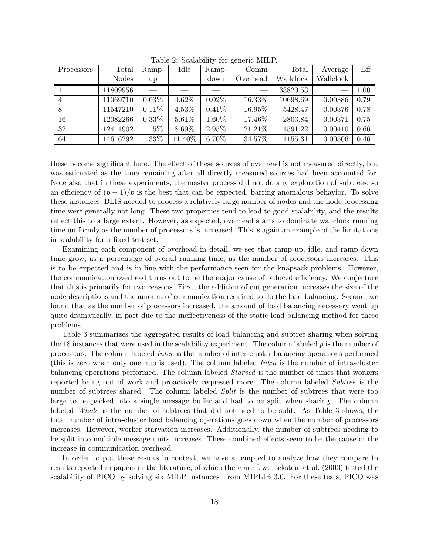| Processors | Total        | Ramp-    | Idle    | Ramp-    | Comm     | Total     | Average   | Eff  |
|------------|--------------|----------|---------|----------|----------|-----------|-----------|------|
|            | <b>Nodes</b> | up       |         | down     | Overhead | Wallclock | Wallclock |      |
|            | 11809956     |          |         |          |          | 33820.53  |           | 1.00 |
| 4          | 11069710     | $0.03\%$ | 4.62%   | $0.02\%$ | 16.33%   | 10698.69  | 0.00386   | 0.79 |
| 8          | 11547210     | $0.11\%$ | 4.53%   | $0.41\%$ | 16.95%   | 5428.47   | 0.00376   | 0.78 |
| 16         | 12082266     | $0.33\%$ | 5.61%   | 1.60%    | 17.46%   | 2803.84   | 0.00371   | 0.75 |
| 32         | 12411902     | $1.15\%$ | 8.69%   | 2.95%    | 21.21\%  | 1591.22   | 0.00410   | 0.66 |
| 64         | 14616292     | 1.33%    | 11.40\% | $6.70\%$ | 34.57%   | 1155.31   | 0.00506   | 0.46 |

Table 2: Scalability for generic MILP.

these become significant here. The effect of these sources of overhead is not measured directly, but was estimated as the time remaining after all directly measured sources had been accounted for. Note also that in these experiments, the master process did not do any exploration of subtrees, so an efficiency of  $(p-1)/p$  is the best that can be expected, barring anomalous behavior. To solve these instances, BLIS needed to process a relatively large number of nodes and the node processing time were generally not long. These two properties tend to lead to good scalability, and the results reflect this to a large extent. However, as expected, overhead starts to dominate wallclock running time uniformly as the number of processors is increased. This is again an example of the limitations in scalability for a fixed test set.

Examining each component of overhead in detail, we see that ramp-up, idle, and ramp-down time grow, as a percentage of overall running time, as the number of processors increases. This is to be expected and is in line with the performance seen for the knapsack problems. However, the communication overhead turns out to be the major cause of reduced efficiency. We conjecture that this is primarily for two reasons. First, the addition of cut generation increases the size of the node descriptions and the amount of communication required to do the load balancing. Second, we found that as the number of processors increased, the amount of load balancing necessary went up quite dramatically, in part due to the ineffectiveness of the static load balancing method for these problems.

Table 3 summarizes the aggregated results of load balancing and subtree sharing when solving the 18 instances that were used in the scalability experiment. The column labeled  $p$  is the number of processors. The column labeled Inter is the number of inter-cluster balancing operations performed (this is zero when only one hub is used). The column labeled Intra is the number of intra-cluster balancing operations performed. The column labeled Starved is the number of times that workers reported being out of work and proactively requested more. The column labeled Subtree is the number of subtrees shared. The column labeled *Split* is the number of subtrees that were too large to be packed into a single message buffer and had to be split when sharing. The column labeled Whole is the number of subtrees that did not need to be split. As Table 3 shows, the total number of intra-cluster load balancing operations goes down when the number of processors increases. However, worker starvation increases. Additionally, the number of subtrees needing to be split into multiple message units increases. These combined effects seem to be the cause of the increase in communication overhead.

In order to put these results in context, we have attempted to analyze how they compare to results reported in papers in the literature, of which there are few. Eckstein et al. (2000) tested the scalability of PICO by solving six MILP instances from MIPLIB 3.0. For these tests, PICO was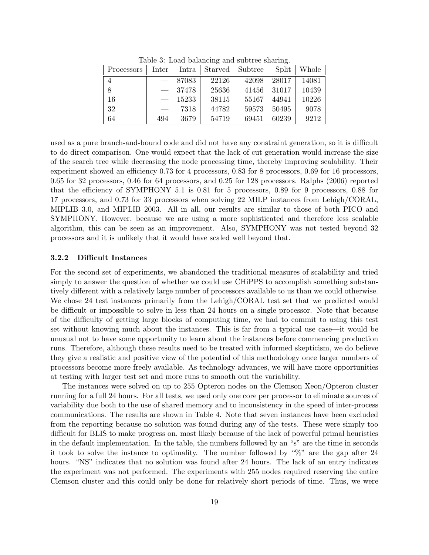| Processors     | Inter | Intra | Starved | Subtree | Split | Whole |
|----------------|-------|-------|---------|---------|-------|-------|
| $\overline{4}$ |       | 87083 | 22126   | 42098   | 28017 | 14081 |
| 8              |       | 37478 | 25636   | 41456   | 31017 | 10439 |
| 16             |       | 15233 | 38115   | 55167   | 44941 | 10226 |
| 32             |       | 7318  | 44782   | 59573   | 50495 | 9078  |
| 64             | 494   | 3679  | 54719   | 69451   | 60239 | 9212  |

Table 3: Load balancing and subtree sharing.

used as a pure branch-and-bound code and did not have any constraint generation, so it is difficult to do direct comparison. One would expect that the lack of cut generation would increase the size of the search tree while decreasing the node processing time, thereby improving scalability. Their experiment showed an efficiency 0.73 for 4 processors, 0.83 for 8 processors, 0.69 for 16 processors, 0.65 for 32 processors, 0.46 for 64 processors, and 0.25 for 128 processors. Ralphs (2006) reported that the efficiency of SYMPHONY 5.1 is 0.81 for 5 processors, 0.89 for 9 processors, 0.88 for 17 processors, and 0.73 for 33 processors when solving 22 MILP instances from Lehigh/CORAL, MIPLIB 3.0, and MIPLIB 2003. All in all, our results are similar to those of both PICO and SYMPHONY. However, because we are using a more sophisticated and therefore less scalable algorithm, this can be seen as an improvement. Also, SYMPHONY was not tested beyond 32 processors and it is unlikely that it would have scaled well beyond that.

#### 3.2.2 Difficult Instances

For the second set of experiments, we abandoned the traditional measures of scalability and tried simply to answer the question of whether we could use CHiPPS to accomplish something substantively different with a relatively large number of processors available to us than we could otherwise. We chose 24 test instances primarily from the Lehigh/CORAL test set that we predicted would be difficult or impossible to solve in less than 24 hours on a single processor. Note that because of the difficulty of getting large blocks of computing time, we had to commit to using this test set without knowing much about the instances. This is far from a typical use case—it would be unusual not to have some opportunity to learn about the instances before commencing production runs. Therefore, although these results need to be treated with informed skepticism, we do believe they give a realistic and positive view of the potential of this methodology once larger numbers of processors become more freely available. As technology advances, we will have more opportunities at testing with larger test set and more runs to smooth out the variability.

The instances were solved on up to 255 Opteron nodes on the Clemson Xeon/Opteron cluster running for a full 24 hours. For all tests, we used only one core per processor to eliminate sources of variability due both to the use of shared memory and to inconsistency in the speed of inter-process communications. The results are shown in Table 4. Note that seven instances have been excluded from the reporting because no solution was found during any of the tests. These were simply too difficult for BLIS to make progress on, most likely because of the lack of powerful primal heuristics in the default implementation. In the table, the numbers followed by an "s" are the time in seconds it took to solve the instance to optimality. The number followed by "%" are the gap after 24 hours. "NS" indicates that no solution was found after 24 hours. The lack of an entry indicates the experiment was not performed. The experiments with 255 nodes required reserving the entire Clemson cluster and this could only be done for relatively short periods of time. Thus, we were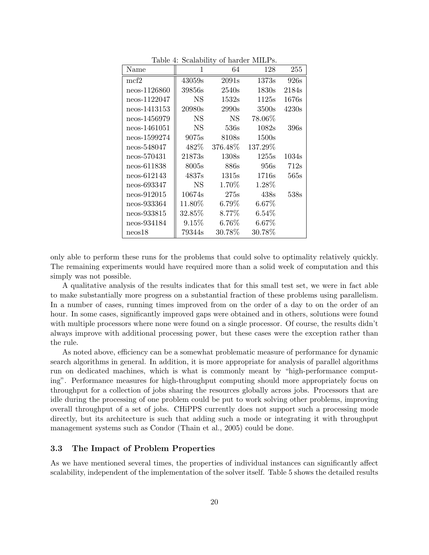| Name             | 1       | 64       | 128      | 255   |
|------------------|---------|----------|----------|-------|
| mcf2             | 43059s  | 2091s    | 1373s    | 926s  |
| neos-1126860     | 39856s  | 2540s    | 1830s    | 2184s |
| neos-1122047     | NS      | 1532s    | 1125s    | 1676s |
| neos-1413153     | 20980s  | 2990s    | 3500s    | 4230s |
| neos-1456979     | ΝS      | NS       | 78.06\%  |       |
| neos-1461051     | NS      | 536s     | 1082s    | 396s  |
| neos-1599274     | 9075s   | 8108s    | 1500s    |       |
| neos-548047      | 482\%   | 376.48\% | 137.29\% |       |
| neos-570431      | 21873s  | 1308s    | 1255s    | 1034s |
| neos-611838      | 8005s   | 886s     | 956s     | 712s  |
| $n\cos-612143$   | 4837s   | 1315s    | 1716s    | 565s  |
| neos-693347      | NS      | 1.70\%   | 1.28\%   |       |
| neos-912015      | 10674s  | 275s     | 438s     | 538s  |
| neos-933364      | 11.80\% | $6.79\%$ | $6.67\%$ |       |
| neos-933815      | 32.85\% | 8.77\%   | $6.54\%$ |       |
| neos-934184      | 9.15%   | $6.76\%$ | $6.67\%$ |       |
| $_{\rm{neos}18}$ | 79344s  | 30.78\%  | 30.78\%  |       |

Table 4: Scalability of harder MILPs.

only able to perform these runs for the problems that could solve to optimality relatively quickly. The remaining experiments would have required more than a solid week of computation and this simply was not possible.

A qualitative analysis of the results indicates that for this small test set, we were in fact able to make substantially more progress on a substantial fraction of these problems using parallelism. In a number of cases, running times improved from on the order of a day to on the order of an hour. In some cases, significantly improved gaps were obtained and in others, solutions were found with multiple processors where none were found on a single processor. Of course, the results didn't always improve with additional processing power, but these cases were the exception rather than the rule.

As noted above, efficiency can be a somewhat problematic measure of performance for dynamic search algorithms in general. In addition, it is more appropriate for analysis of parallel algorithms run on dedicated machines, which is what is commonly meant by "high-performance computing". Performance measures for high-throughput computing should more appropriately focus on throughput for a collection of jobs sharing the resources globally across jobs. Processors that are idle during the processing of one problem could be put to work solving other problems, improving overall throughput of a set of jobs. CHiPPS currently does not support such a processing mode directly, but its architecture is such that adding such a mode or integrating it with throughput management systems such as Condor (Thain et al., 2005) could be done.

#### 3.3 The Impact of Problem Properties

As we have mentioned several times, the properties of individual instances can significantly affect scalability, independent of the implementation of the solver itself. Table 5 shows the detailed results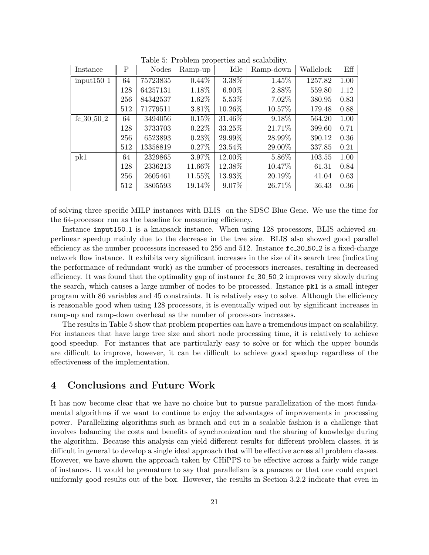| Instance        | Ρ   | Nodes    | Ramp-up  | Idle     | Ramp-down | Wallclock | Eff  |
|-----------------|-----|----------|----------|----------|-----------|-----------|------|
| $input150_1$    | 64  | 75723835 | $0.44\%$ | 3.38%    | 1.45%     | 1257.82   | 1.00 |
|                 | 128 | 64257131 | 1.18%    | $6.90\%$ | 2.88%     | 559.80    | 1.12 |
|                 | 256 | 84342537 | $1.62\%$ | 5.53%    | 7.02%     | 380.95    | 0.83 |
|                 | 512 | 71779511 | 3.81%    | 10.26\%  | 10.57\%   | 179.48    | 0.88 |
| $fc\_30\_50\_2$ | 64  | 3494056  | $0.15\%$ | 31.46%   | 9.18%     | 564.20    | 1.00 |
|                 | 128 | 3733703  | $0.22\%$ | 33.25%   | 21.71\%   | 399.60    | 0.71 |
|                 | 256 | 6523893  | $0.23\%$ | 29.99%   | 28.99%    | 390.12    | 0.36 |
|                 | 512 | 13358819 | 0.27%    | 23.54%   | 29.00%    | 337.85    | 0.21 |
| pk1             | 64  | 2329865  | 3.97%    | 12.00%   | 5.86\%    | 103.55    | 1.00 |
|                 | 128 | 2336213  | 11.66%   | 12.38%   | 10.47%    | 61.31     | 0.84 |
|                 | 256 | 2605461  | 11.55%   | 13.93%   | 20.19%    | 41.04     | 0.63 |
|                 | 512 | 3805593  | 19.14\%  | 9.07%    | 26.71%    | 36.43     | 0.36 |

Table 5: Problem properties and scalability.

of solving three specific MILP instances with BLIS on the SDSC Blue Gene. We use the time for the 64-processor run as the baseline for measuring efficiency.

Instance input150<sub>-1</sub> is a knapsack instance. When using 128 processors, BLIS achieved superlinear speedup mainly due to the decrease in the tree size. BLIS also showed good parallel efficiency as the number processors increased to 256 and 512. Instance  $fc\_30\_50\_2$  is a fixed-charge network flow instance. It exhibits very significant increases in the size of its search tree (indicating the performance of redundant work) as the number of processors increases, resulting in decreased efficiency. It was found that the optimality gap of instance fc 30 50 2 improves very slowly during the search, which causes a large number of nodes to be processed. Instance pk1 is a small integer program with 86 variables and 45 constraints. It is relatively easy to solve. Although the efficiency is reasonable good when using 128 processors, it is eventually wiped out by significant increases in ramp-up and ramp-down overhead as the number of processors increases.

The results in Table 5 show that problem properties can have a tremendous impact on scalability. For instances that have large tree size and short node processing time, it is relatively to achieve good speedup. For instances that are particularly easy to solve or for which the upper bounds are difficult to improve, however, it can be difficult to achieve good speedup regardless of the effectiveness of the implementation.

## 4 Conclusions and Future Work

It has now become clear that we have no choice but to pursue parallelization of the most fundamental algorithms if we want to continue to enjoy the advantages of improvements in processing power. Parallelizing algorithms such as branch and cut in a scalable fashion is a challenge that involves balancing the costs and benefits of synchronization and the sharing of knowledge during the algorithm. Because this analysis can yield different results for different problem classes, it is difficult in general to develop a single ideal approach that will be effective across all problem classes. However, we have shown the approach taken by CHiPPS to be effective across a fairly wide range of instances. It would be premature to say that parallelism is a panacea or that one could expect uniformly good results out of the box. However, the results in Section 3.2.2 indicate that even in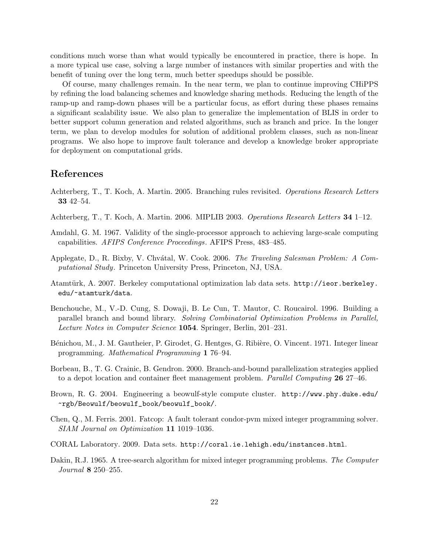conditions much worse than what would typically be encountered in practice, there is hope. In a more typical use case, solving a large number of instances with similar properties and with the benefit of tuning over the long term, much better speedups should be possible.

Of course, many challenges remain. In the near term, we plan to continue improving CHiPPS by refining the load balancing schemes and knowledge sharing methods. Reducing the length of the ramp-up and ramp-down phases will be a particular focus, as effort during these phases remains a significant scalability issue. We also plan to generalize the implementation of BLIS in order to better support column generation and related algorithms, such as branch and price. In the longer term, we plan to develop modules for solution of additional problem classes, such as non-linear programs. We also hope to improve fault tolerance and develop a knowledge broker appropriate for deployment on computational grids.

## References

- Achterberg, T., T. Koch, A. Martin. 2005. Branching rules revisited. Operations Research Letters 33 42–54.
- Achterberg, T., T. Koch, A. Martin. 2006. MIPLIB 2003. Operations Research Letters 34 1–12.
- Amdahl, G. M. 1967. Validity of the single-processor approach to achieving large-scale computing capabilities. AFIPS Conference Proceedings. AFIPS Press, 483–485.
- Applegate, D., R. Bixby, V. Chv´atal, W. Cook. 2006. The Traveling Salesman Problem: A Computational Study. Princeton University Press, Princeton, NJ, USA.
- Atamtürk, A. 2007. Berkeley computational optimization lab data sets. http://ieor.berkeley. edu/~atamturk/data.
- Benchouche, M., V.-D. Cung, S. Dowaji, B. Le Cun, T. Mautor, C. Roucairol. 1996. Building a parallel branch and bound library. Solving Combinatorial Optimization Problems in Parallel, Lecture Notes in Computer Science 1054. Springer, Berlin, 201–231.
- Bénichou, M., J. M. Gautheier, P. Girodet, G. Hentges, G. Ribière, O. Vincent. 1971. Integer linear programming. Mathematical Programming 1 76–94.
- Borbeau, B., T. G. Crainic, B. Gendron. 2000. Branch-and-bound parallelization strategies applied to a depot location and container fleet management problem. Parallel Computing 26 27–46.
- Brown, R. G. 2004. Engineering a beowulf-style compute cluster. http://www.phy.duke.edu/ ~rgb/Beowulf/beowulf\_book/beowulf\_book/.
- Chen, Q., M. Ferris. 2001. Fatcop: A fault tolerant condor-pvm mixed integer programming solver. SIAM Journal on Optimization 11 1019–1036.
- CORAL Laboratory. 2009. Data sets. http://coral.ie.lehigh.edu/instances.html.
- Dakin, R.J. 1965. A tree-search algorithm for mixed integer programming problems. The Computer Journal 8 250–255.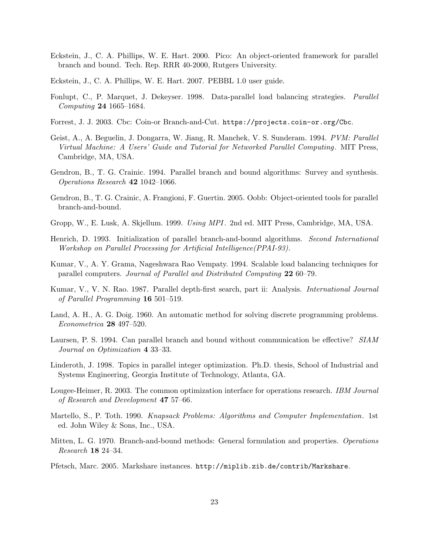- Eckstein, J., C. A. Phillips, W. E. Hart. 2000. Pico: An object-oriented framework for parallel branch and bound. Tech. Rep. RRR 40-2000, Rutgers University.
- Eckstein, J., C. A. Phillips, W. E. Hart. 2007. PEBBL 1.0 user guide.
- Fonlupt, C., P. Marquet, J. Dekeyser. 1998. Data-parallel load balancing strategies. Parallel Computing 24 1665–1684.
- Forrest, J. J. 2003. Cbc: Coin-or Branch-and-Cut. https://projects.coin-or.org/Cbc.
- Geist, A., A. Beguelin, J. Dongarra, W. Jiang, R. Manchek, V. S. Sunderam. 1994. PVM: Parallel Virtual Machine: A Users' Guide and Tutorial for Networked Parallel Computing. MIT Press, Cambridge, MA, USA.
- Gendron, B., T. G. Crainic. 1994. Parallel branch and bound algorithms: Survey and synthesis. Operations Research 42 1042–1066.
- Gendron, B., T. G. Crainic, A. Frangioni, F. Guertin. 2005. Oobb: Object-oriented tools for parallel branch-and-bound.
- Gropp, W., E. Lusk, A. Skjellum. 1999. Using MPI. 2nd ed. MIT Press, Cambridge, MA, USA.
- Henrich, D. 1993. Initialization of parallel branch-and-bound algorithms. Second International Workshop on Parallel Processing for Artificial Intelligence(PPAI-93).
- Kumar, V., A. Y. Grama, Nageshwara Rao Vempaty. 1994. Scalable load balancing techniques for parallel computers. Journal of Parallel and Distributed Computing 22 60–79.
- Kumar, V., V. N. Rao. 1987. Parallel depth-first search, part ii: Analysis. International Journal of Parallel Programming 16 501–519.
- Land, A. H., A. G. Doig. 1960. An automatic method for solving discrete programming problems. Econometrica 28 497–520.
- Laursen, P. S. 1994. Can parallel branch and bound without communication be effective? SIAM Journal on Optimization 4 33–33.
- Linderoth, J. 1998. Topics in parallel integer optimization. Ph.D. thesis, School of Industrial and Systems Engineering, Georgia Institute of Technology, Atlanta, GA.
- Lougee-Heimer, R. 2003. The common optimization interface for operations research. IBM Journal of Research and Development 47 57–66.
- Martello, S., P. Toth. 1990. Knapsack Problems: Algorithms and Computer Implementation. 1st ed. John Wiley & Sons, Inc., USA.
- Mitten, L. G. 1970. Branch-and-bound methods: General formulation and properties. Operations Research 18 24–34.
- Pfetsch, Marc. 2005. Markshare instances. http://miplib.zib.de/contrib/Markshare.